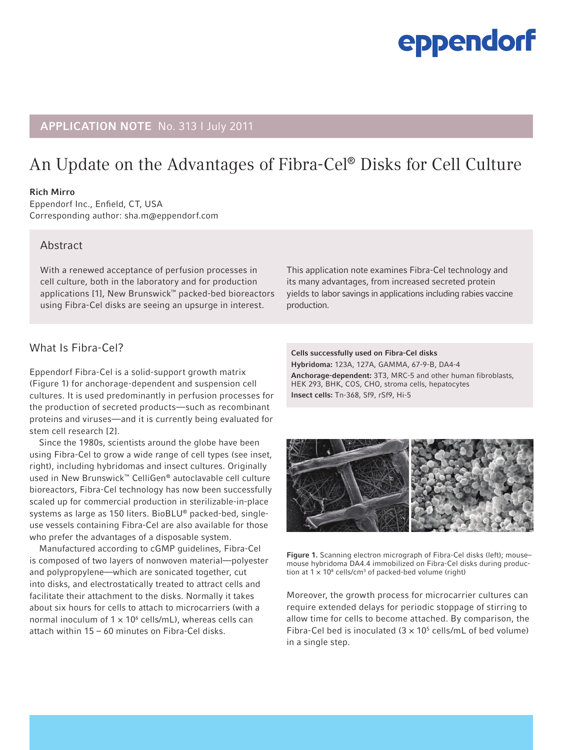# eppendorf

### **APPLICATION NOTE** No. 313 I July 2011

### An Update on the Advantages of Fibra-Cel® Disks for Cell Culture

### Rich Mirro

Eppendorf Inc., Enfield, CT, USA Corresponding author: sha.m@eppendorf.com

### **Abstract**

With a renewed acceptance of perfusion processes in cell culture, both in the laboratory and for production applications [1], New Brunswick™ packed-bed bioreactors using Fibra-Cel disks are seeing an upsurge in interest.

This application note examines Fibra-Cel technology and its many advantages, from increased secreted protein yields to labor savings in applications including rabies vaccine production.

### What Is Fibra-Cel?

Eppendorf Fibra-Cel is a solid-support growth matrix (Figure 1) for anchorage-dependent and suspension cell cultures. It is used predominantly in perfusion processes for the production of secreted products—such as recombinant proteins and viruses—and it is currently being evaluated for stem cell research [2].

Since the 1980s, scientists around the globe have been using Fibra-Cel to grow a wide range of cell types (see inset, right), including hybridomas and insect cultures. Originally used in New Brunswick™ CelliGen® autoclavable cell culture bioreactors, Fibra-Cel technology has now been successfully scaled up for commercial production in sterilizable-in-place systems as large as 150 liters. BioBLU® packed-bed, singleuse vessels containing Fibra-Cel are also available for those who prefer the advantages of a disposable system.

Manufactured according to cGMP guidelines, Fibra-Cel is composed of two layers of nonwoven material—polyester and polypropylene—which are sonicated together, cut into disks, and electrostatically treated to attract cells and facilitate their attachment to the disks. Normally it takes about six hours for cells to attach to microcarriers (with a normal inoculum of  $1 \times 10^6$  cells/mL), whereas cells can attach within 15 – 60 minutes on Fibra-Cel disks.

Cells successfully used on Fibra-Cel disks Hybridoma: 123A, 127A, GAMMA, 67-9-B, DA4-4 Anchorage-dependent: 3T3, MRC-5 and other human fibroblasts, HEK 293, BHK, COS, CHO, stroma cells, hepatocytes Insect cells: Tn-368, Sf9, rSf9, Hi-5



Figure 1. Scanning electron micrograph of Fibra-Cel disks (left); mouse– mouse hybridoma DA4.4 immobilized on Fibra-Cel disks during production at  $1 \times 10^8$  cells/cm<sup>3</sup> of packed-bed volume (right)

Moreover, the growth process for microcarrier cultures can require extended delays for periodic stoppage of stirring to allow time for cells to become attached. By comparison, the Fibra-Cel bed is inoculated  $(3 \times 10^5 \text{ cells/mL}$  of bed volume) in a single step.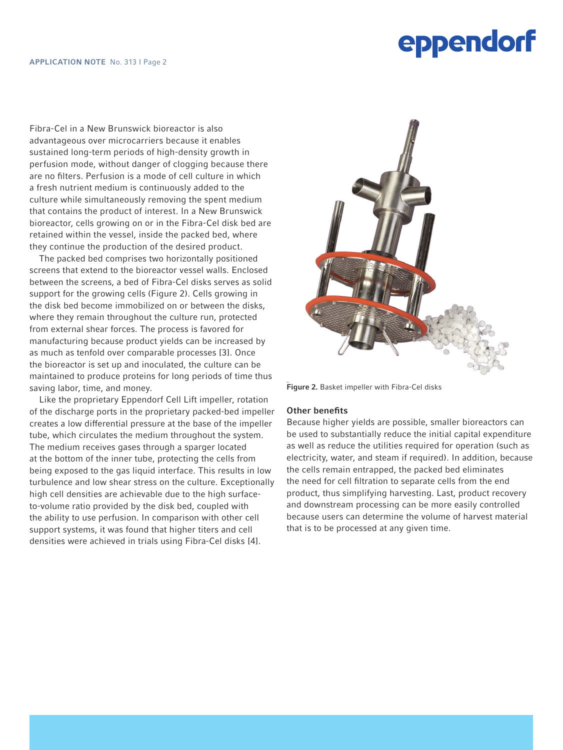## eppendorf

Fibra-Cel in a New Brunswick bioreactor is also advantageous over microcarriers because it enables sustained long-term periods of high-density growth in perfusion mode, without danger of clogging because there are no filters. Perfusion is a mode of cell culture in which a fresh nutrient medium is continuously added to the culture while simultaneously removing the spent medium that contains the product of interest. In a New Brunswick bioreactor, cells growing on or in the Fibra-Cel disk bed are retained within the vessel, inside the packed bed, where they continue the production of the desired product.

The packed bed comprises two horizontally positioned screens that extend to the bioreactor vessel walls. Enclosed between the screens, a bed of Fibra-Cel disks serves as solid support for the growing cells (Figure 2). Cells growing in the disk bed become immobilized on or between the disks, where they remain throughout the culture run, protected from external shear forces. The process is favored for manufacturing because product yields can be increased by as much as tenfold over comparable processes [3]. Once the bioreactor is set up and inoculated, the culture can be maintained to produce proteins for long periods of time thus saving labor, time, and money.

Like the proprietary Eppendorf Cell Lift impeller, rotation of the discharge ports in the proprietary packed-bed impeller creates a low differential pressure at the base of the impeller tube, which circulates the medium throughout the system. The medium receives gases through a sparger located at the bottom of the inner tube, protecting the cells from being exposed to the gas liquid interface. This results in low turbulence and low shear stress on the culture. Exceptionally high cell densities are achievable due to the high surfaceto-volume ratio provided by the disk bed, coupled with the ability to use perfusion. In comparison with other cell support systems, it was found that higher titers and cell densities were achieved in trials using Fibra-Cel disks [4].



Figure 2. Basket impeller with Fibra-Cel disks

#### Other benefits

Because higher yields are possible, smaller bioreactors can be used to substantially reduce the initial capital expenditure as well as reduce the utilities required for operation (such as electricity, water, and steam if required). In addition, because the cells remain entrapped, the packed bed eliminates the need for cell filtration to separate cells from the end product, thus simplifying harvesting. Last, product recovery and downstream processing can be more easily controlled because users can determine the volume of harvest material that is to be processed at any given time.